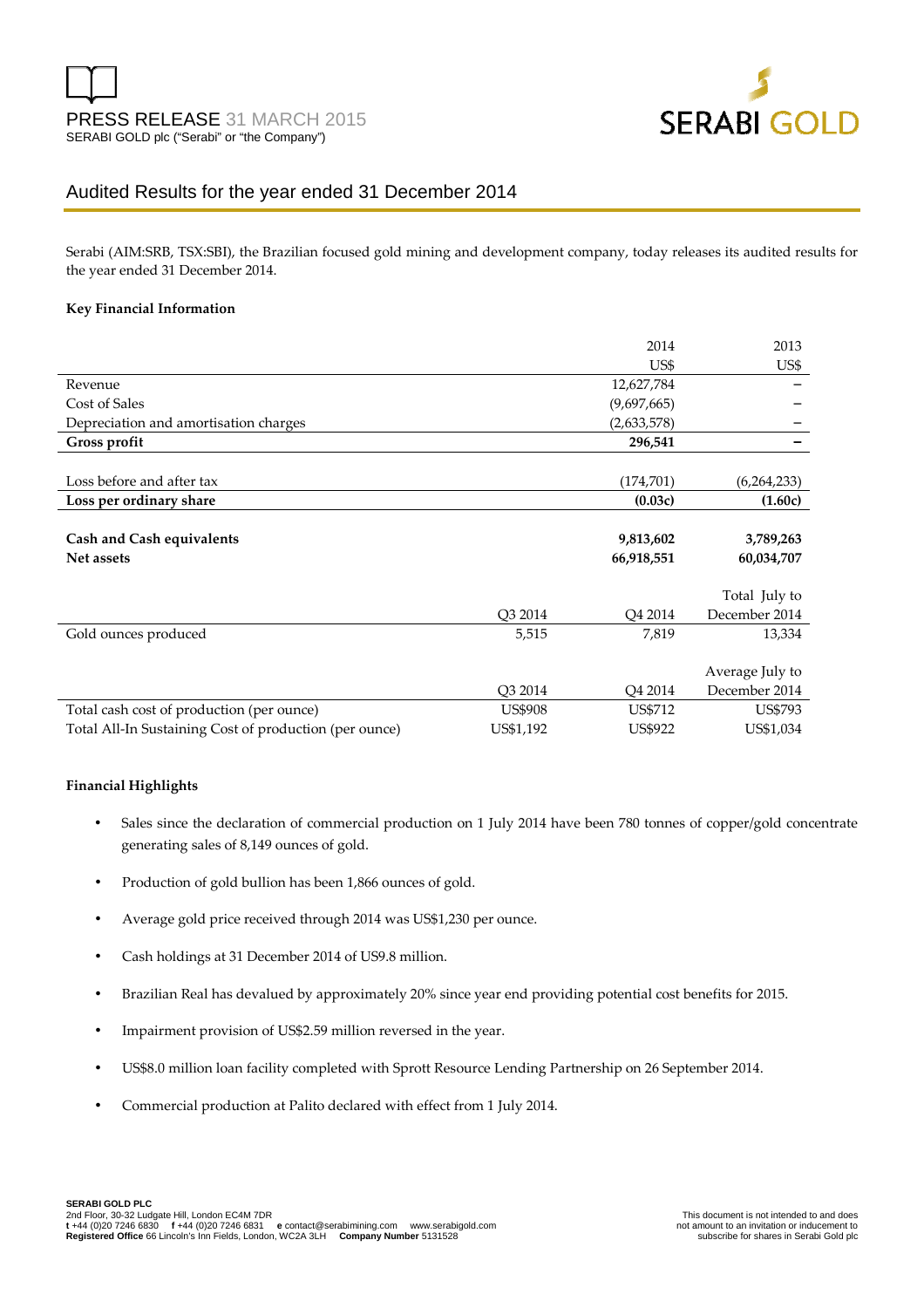

## Audited Results for the year ended 31 December 2014

Serabi (AIM:SRB, TSX:SBI), the Brazilian focused gold mining and development company, today releases its audited results for the year ended 31 December 2014.

## **Key Financial Information**

|                                                        |                | 2014                | 2013            |
|--------------------------------------------------------|----------------|---------------------|-----------------|
|                                                        |                | US\$                | US\$            |
| Revenue                                                |                | 12,627,784          |                 |
| Cost of Sales                                          |                | (9,697,665)         |                 |
| Depreciation and amortisation charges                  |                | (2,633,578)         |                 |
| Gross profit                                           |                | 296,541             |                 |
|                                                        |                |                     |                 |
| Loss before and after tax                              |                | (174, 701)          | (6,264,233)     |
| Loss per ordinary share                                |                | (0.03c)             | (1.60c)         |
|                                                        |                |                     |                 |
| <b>Cash and Cash equivalents</b>                       |                | 9,813,602           | 3,789,263       |
| Net assets                                             |                | 66,918,551          | 60,034,707      |
|                                                        |                |                     |                 |
|                                                        |                |                     | Total July to   |
|                                                        | Q3 2014        | O <sub>4</sub> 2014 | December 2014   |
| Gold ounces produced                                   | 5,515          | 7,819               | 13,334          |
|                                                        |                |                     |                 |
|                                                        |                |                     | Average July to |
|                                                        | Q3 2014        | O <sub>4</sub> 2014 | December 2014   |
| Total cash cost of production (per ounce)              | <b>US\$908</b> | US\$712             | <b>US\$793</b>  |
| Total All-In Sustaining Cost of production (per ounce) | US\$1,192      | US\$922             | US\$1,034       |

## **Financial Highlights**

- Sales since the declaration of commercial production on 1 July 2014 have been 780 tonnes of copper/gold concentrate generating sales of 8,149 ounces of gold.
- Production of gold bullion has been 1,866 ounces of gold.
- Average gold price received through 2014 was US\$1,230 per ounce.
- Cash holdings at 31 December 2014 of US9.8 million.
- Brazilian Real has devalued by approximately 20% since year end providing potential cost benefits for 2015.
- Impairment provision of US\$2.59 million reversed in the year.
- US\$8.0 million loan facility completed with Sprott Resource Lending Partnership on 26 September 2014.
- Commercial production at Palito declared with effect from 1 July 2014.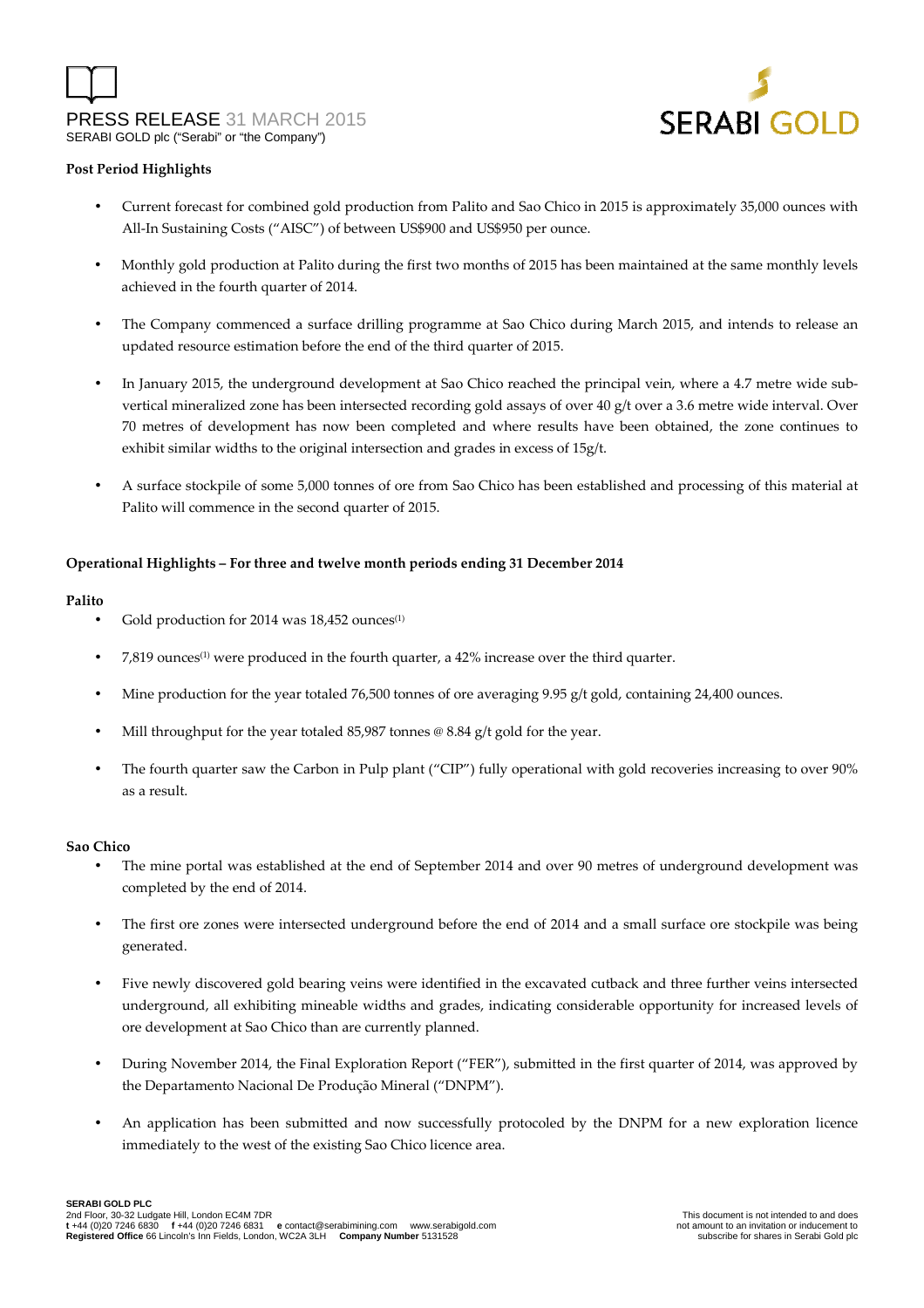

## **Post Period Highlights**

- Current forecast for combined gold production from Palito and Sao Chico in 2015 is approximately 35,000 ounces with All-In Sustaining Costs ("AISC") of between US\$900 and US\$950 per ounce.
- Monthly gold production at Palito during the first two months of 2015 has been maintained at the same monthly levels achieved in the fourth quarter of 2014.
- The Company commenced a surface drilling programme at Sao Chico during March 2015, and intends to release an updated resource estimation before the end of the third quarter of 2015.
- In January 2015, the underground development at Sao Chico reached the principal vein, where a 4.7 metre wide subvertical mineralized zone has been intersected recording gold assays of over 40 g/t over a 3.6 metre wide interval. Over 70 metres of development has now been completed and where results have been obtained, the zone continues to exhibit similar widths to the original intersection and grades in excess of 15g/t.
- A surface stockpile of some 5,000 tonnes of ore from Sao Chico has been established and processing of this material at Palito will commence in the second quarter of 2015.

## **Operational Highlights – For three and twelve month periods ending 31 December 2014**

## **Palito**

- Gold production for 2014 was  $18,452$  ounces<sup> $(1)$ </sup>
- $7,819$  ounces<sup>(1)</sup> were produced in the fourth quarter, a 42% increase over the third quarter.
- Mine production for the year totaled 76,500 tonnes of ore averaging 9.95 g/t gold, containing 24,400 ounces.
- Mill throughput for the year totaled 85,987 tonnes  $\mathcal{O}(8.84 \text{ g/t} \text{ gold}$  for the year.
- The fourth quarter saw the Carbon in Pulp plant ("CIP") fully operational with gold recoveries increasing to over 90% as a result.

## **Sao Chico**

- The mine portal was established at the end of September 2014 and over 90 metres of underground development was completed by the end of 2014.
- The first ore zones were intersected underground before the end of 2014 and a small surface ore stockpile was being generated.
- Five newly discovered gold bearing veins were identified in the excavated cutback and three further veins intersected underground, all exhibiting mineable widths and grades, indicating considerable opportunity for increased levels of ore development at Sao Chico than are currently planned.
- During November 2014, the Final Exploration Report ("FER"), submitted in the first quarter of 2014, was approved by the Departamento Nacional De Produção Mineral ("DNPM").
- An application has been submitted and now successfully protocoled by the DNPM for a new exploration licence immediately to the west of the existing Sao Chico licence area.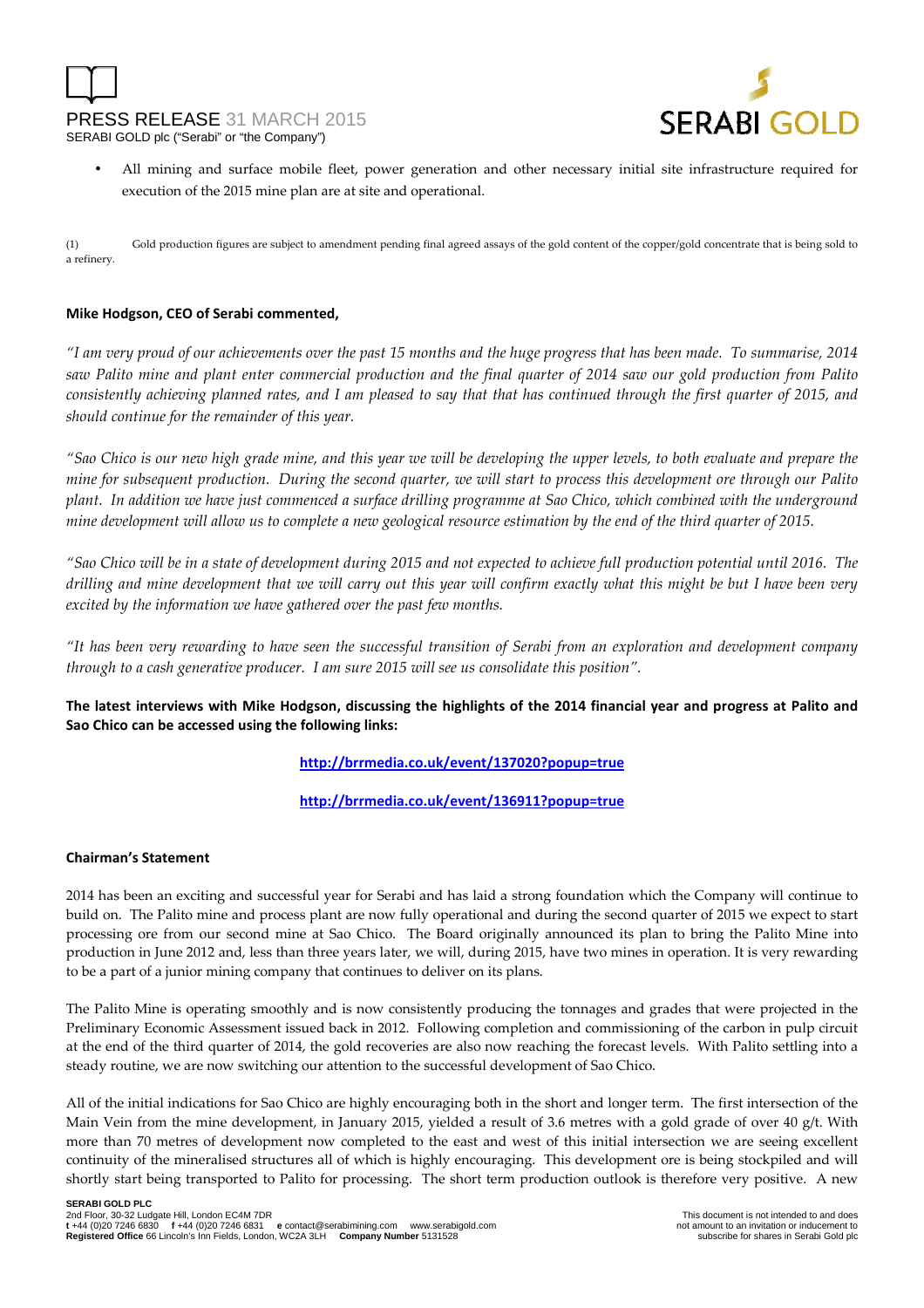



• All mining and surface mobile fleet, power generation and other necessary initial site infrastructure required for execution of the 2015 mine plan are at site and operational.

(1) Gold production figures are subject to amendment pending final agreed assays of the gold content of the copper/gold concentrate that is being sold to a refinery.

## **Mike Hodgson, CEO of Serabi commented,**

*"I am very proud of our achievements over the past 15 months and the huge progress that has been made. To summarise, 2014 saw Palito mine and plant enter commercial production and the final quarter of 2014 saw our gold production from Palito consistently achieving planned rates, and I am pleased to say that that has continued through the first quarter of 2015, and should continue for the remainder of this year.* 

*"Sao Chico is our new high grade mine, and this year we will be developing the upper levels, to both evaluate and prepare the mine for subsequent production. During the second quarter, we will start to process this development ore through our Palito plant. In addition we have just commenced a surface drilling programme at Sao Chico, which combined with the underground mine development will allow us to complete a new geological resource estimation by the end of the third quarter of 2015.* 

*"Sao Chico will be in a state of development during 2015 and not expected to achieve full production potential until 2016. The drilling and mine development that we will carry out this year will confirm exactly what this might be but I have been very excited by the information we have gathered over the past few months.* 

*"It has been very rewarding to have seen the successful transition of Serabi from an exploration and development company through to a cash generative producer. I am sure 2015 will see us consolidate this position".* 

**The latest interviews with Mike Hodgson, discussing the highlights of the 2014 financial year and progress at Palito and Sao Chico can be accessed using the following links:** 

## **http://brrmedia.co.uk/event/137020?popup=true**

**http://brrmedia.co.uk/event/136911?popup=true**

## **Chairman's Statement**

2014 has been an exciting and successful year for Serabi and has laid a strong foundation which the Company will continue to build on. The Palito mine and process plant are now fully operational and during the second quarter of 2015 we expect to start processing ore from our second mine at Sao Chico. The Board originally announced its plan to bring the Palito Mine into production in June 2012 and, less than three years later, we will, during 2015, have two mines in operation. It is very rewarding to be a part of a junior mining company that continues to deliver on its plans.

The Palito Mine is operating smoothly and is now consistently producing the tonnages and grades that were projected in the Preliminary Economic Assessment issued back in 2012. Following completion and commissioning of the carbon in pulp circuit at the end of the third quarter of 2014, the gold recoveries are also now reaching the forecast levels. With Palito settling into a steady routine, we are now switching our attention to the successful development of Sao Chico.

All of the initial indications for Sao Chico are highly encouraging both in the short and longer term. The first intersection of the Main Vein from the mine development, in January 2015, yielded a result of 3.6 metres with a gold grade of over 40 g/t. With more than 70 metres of development now completed to the east and west of this initial intersection we are seeing excellent continuity of the mineralised structures all of which is highly encouraging. This development ore is being stockpiled and will shortly start being transported to Palito for processing. The short term production outlook is therefore very positive. A new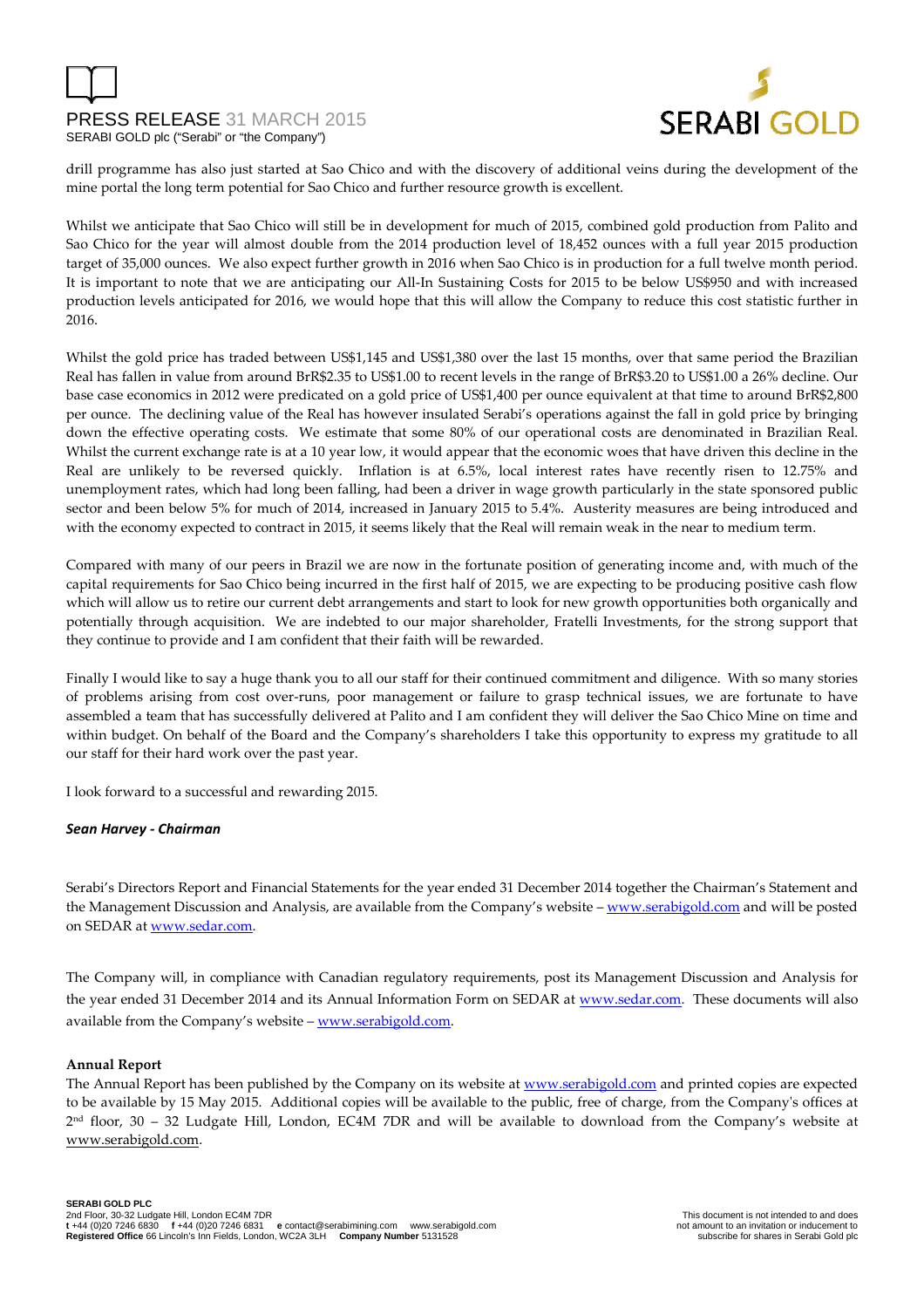# PRESS RELEASE 31 MARCH 2015 SERABI GOLD plc ("Serabi" or "the Company")



drill programme has also just started at Sao Chico and with the discovery of additional veins during the development of the mine portal the long term potential for Sao Chico and further resource growth is excellent.

Whilst we anticipate that Sao Chico will still be in development for much of 2015, combined gold production from Palito and Sao Chico for the year will almost double from the 2014 production level of 18,452 ounces with a full year 2015 production target of 35,000 ounces. We also expect further growth in 2016 when Sao Chico is in production for a full twelve month period. It is important to note that we are anticipating our All-In Sustaining Costs for 2015 to be below US\$950 and with increased production levels anticipated for 2016, we would hope that this will allow the Company to reduce this cost statistic further in 2016.

Whilst the gold price has traded between US\$1,145 and US\$1,380 over the last 15 months, over that same period the Brazilian Real has fallen in value from around BrR\$2.35 to US\$1.00 to recent levels in the range of BrR\$3.20 to US\$1.00 a 26% decline. Our base case economics in 2012 were predicated on a gold price of US\$1,400 per ounce equivalent at that time to around BrR\$2,800 per ounce. The declining value of the Real has however insulated Serabi's operations against the fall in gold price by bringing down the effective operating costs. We estimate that some 80% of our operational costs are denominated in Brazilian Real. Whilst the current exchange rate is at a 10 year low, it would appear that the economic woes that have driven this decline in the Real are unlikely to be reversed quickly. Inflation is at 6.5%, local interest rates have recently risen to 12.75% and unemployment rates, which had long been falling, had been a driver in wage growth particularly in the state sponsored public sector and been below 5% for much of 2014, increased in January 2015 to 5.4%. Austerity measures are being introduced and with the economy expected to contract in 2015, it seems likely that the Real will remain weak in the near to medium term.

Compared with many of our peers in Brazil we are now in the fortunate position of generating income and, with much of the capital requirements for Sao Chico being incurred in the first half of 2015, we are expecting to be producing positive cash flow which will allow us to retire our current debt arrangements and start to look for new growth opportunities both organically and potentially through acquisition. We are indebted to our major shareholder, Fratelli Investments, for the strong support that they continue to provide and I am confident that their faith will be rewarded.

Finally I would like to say a huge thank you to all our staff for their continued commitment and diligence. With so many stories of problems arising from cost over-runs, poor management or failure to grasp technical issues, we are fortunate to have assembled a team that has successfully delivered at Palito and I am confident they will deliver the Sao Chico Mine on time and within budget. On behalf of the Board and the Company's shareholders I take this opportunity to express my gratitude to all our staff for their hard work over the past year.

I look forward to a successful and rewarding 2015.

## *Sean Harvey - Chairman*

Serabi's Directors Report and Financial Statements for the year ended 31 December 2014 together the Chairman's Statement and the Management Discussion and Analysis, are available from the Company's website – www.serabigold.com and will be posted on SEDAR at www.sedar.com.

The Company will, in compliance with Canadian regulatory requirements, post its Management Discussion and Analysis for the year ended 31 December 2014 and its Annual Information Form on SEDAR at www.sedar.com. These documents will also available from the Company's website – www.serabigold.com.

## **Annual Report**

The Annual Report has been published by the Company on its website at www.serabigold.com and printed copies are expected to be available by 15 May 2015. Additional copies will be available to the public, free of charge, from the Company's offices at 2 nd floor, 30 – 32 Ludgate Hill, London, EC4M 7DR and will be available to download from the Company's website at www.serabigold.com.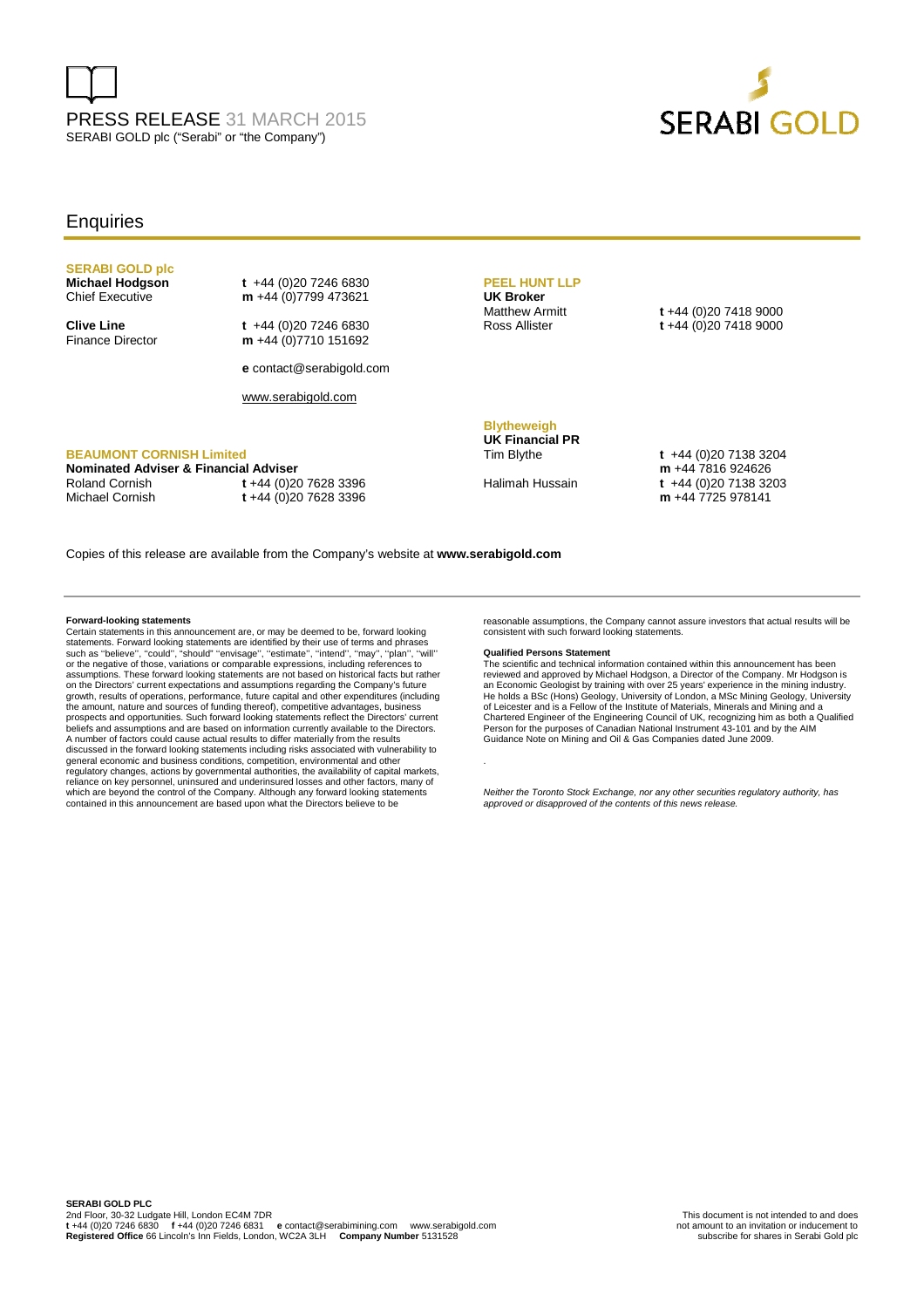



## **Enquiries**

## **SERABI GOLD plc**

**Michael Hodgson t** +44 (0)20 7246 6830<br>Chief Executive **m** +44 (0)7799 473621 m +44 (0)7799 473621

**Clive Line** t +44 (0)20 7246 6830<br>Finance Director **m** +44 (0)7710 151692 m +44 (0)7710 151692

**e** contact@serabigold.com

www.serabigold.com

## **BEAUMONT CORNISH Limited**

**Nominated Adviser & Financial Adviser**  Roland Cornish **t** +44 (0)20 7628 3396

Michael Cornish **t** +44 (0)20 7628 3396

## **PEEL HUNT LLP**

**UK Broker**

Matthew Armitt **t** +44 (0)20 7418 9000 Ross Allister **t** +44 (0)20 7418 9000

## **Blytheweigh UK Financial PR**

Tim Blythe **t** +44 (0)20 7138 3204 **m** +44 7816 924626 Halimah Hussain **t** +44 (0)20 7138 3203 **m** +44 7725 978141

Copies of this release are available from the Company's website at **www.serabigold.com** 

#### **Forward-looking statements**

Certain statements in this announcement are, or may be deemed to be, forward looking statements. Forward looking statements are identified by their use of terms and phrases<br>such as "believe", "could", "should" "envisage", "estimate", "intend", "may", "plan", "will"<br>or the negative of those, variations or c growth, results of operations, performance, future capital and other expenditures (including<br>the amount, nature and sources of funding thereof), competitive advantages, business<br>prospects and opportunities. Such forward lo A number of factors could cause actual results to differ materially from the results discussed in the forward looking statements including risks associated with vulnerability to general economic and business conditions, competition, environmental and other<br>regulatory changes, actions by governmental authorities, the availability of capital markets,<br>reliance on key personnel, uninsured and underins which are beyond the control of the Company. Although any forward looking statements contained in this announcement are based upon what the Directors believe to be

reasonable assumptions, the Company cannot assure investors that actual results will be consistent with such forward looking statements.

#### **Qualified Persons Statement**

.

The scientific and technical information contained within this announcement has been reviewed and approved by Michael Hodgson, a Director of the Company. Mr Hodgson is an Economic Geologist by training with over 25 years' experience in the mining industry. He holds a BSc (Hons) Geology, University of London, a MSc Mining Geology, University of Leicester and is a Fellow of the Institute of Materials, Minerals and Mining and a Chartered Engineer of the Engineering Council of UK, recognizing him as both a Qualified Person for the purposes of Canadian National Instrument 43-101 and by the AIM Guidance Note on Mining and Oil & Gas Companies dated June 2009.

Neither the Toronto Stock Exchange, nor any other securities regulatory authority, has approved or disapproved of the contents of this news release.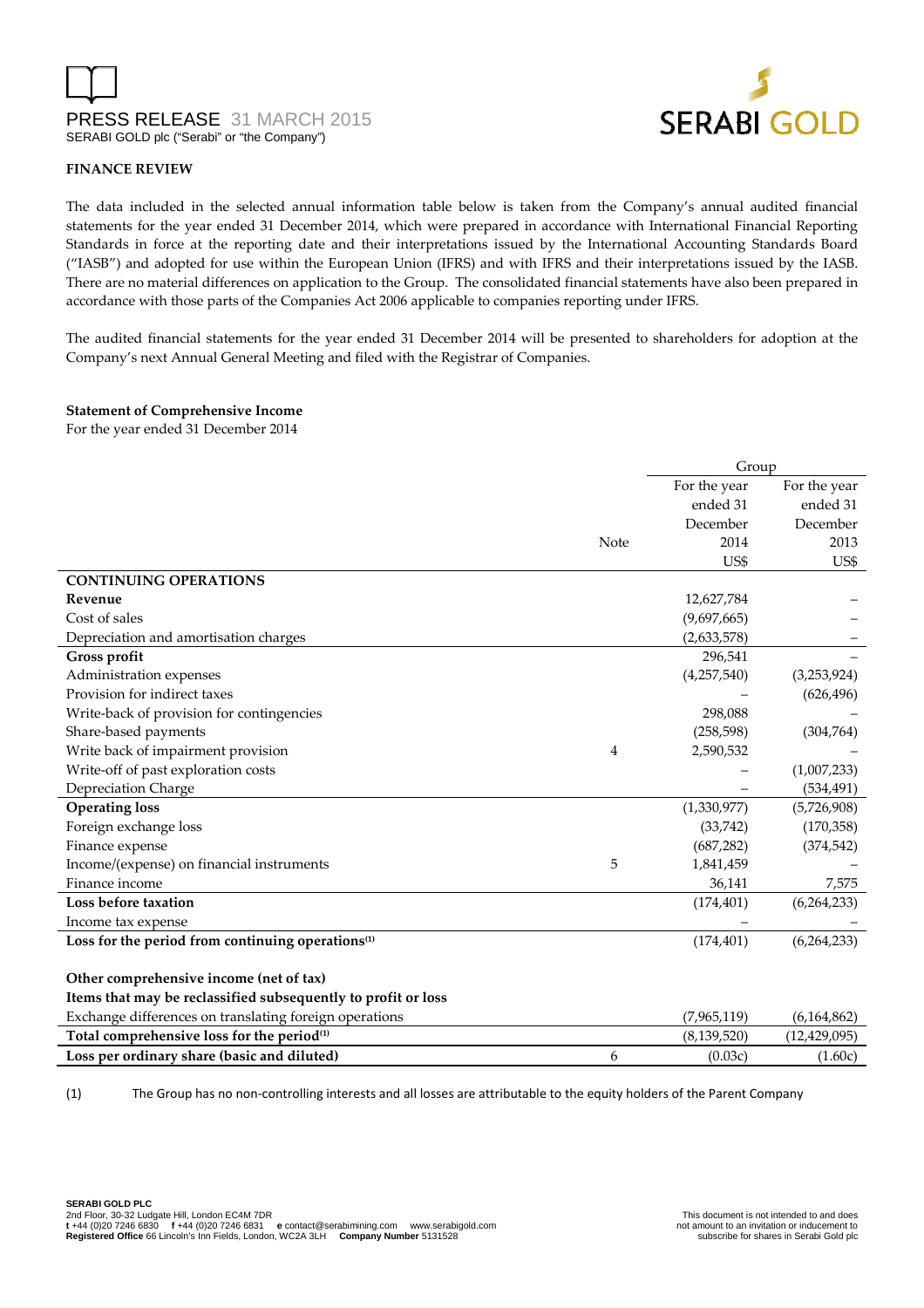



## **FINANCE REVIEW**

The data included in the selected annual information table below is taken from the Company's annual audited financial statements for the year ended 31 December 2014, which were prepared in accordance with International Financial Reporting Standards in force at the reporting date and their interpretations issued by the International Accounting Standards Board ("IASB") and adopted for use within the European Union (IFRS) and with IFRS and their interpretations issued by the IASB. There are no material differences on application to the Group. The consolidated financial statements have also been prepared in accordance with those parts of the Companies Act 2006 applicable to companies reporting under IFRS.

The audited financial statements for the year ended 31 December 2014 will be presented to shareholders for adoption at the Company's next Annual General Meeting and filed with the Registrar of Companies.

## **Statement of Comprehensive Income**

For the year ended 31 December 2014

|                                                               |      | Group         |               |
|---------------------------------------------------------------|------|---------------|---------------|
|                                                               |      | For the year  | For the year  |
|                                                               |      | ended 31      | ended 31      |
|                                                               |      | December      | December      |
|                                                               | Note | 2014          | 2013          |
|                                                               |      | US\$          | US\$          |
| <b>CONTINUING OPERATIONS</b>                                  |      |               |               |
| Revenue                                                       |      | 12,627,784    |               |
| Cost of sales                                                 |      | (9,697,665)   |               |
| Depreciation and amortisation charges                         |      | (2,633,578)   |               |
| Gross profit                                                  |      | 296,541       |               |
| Administration expenses                                       |      | (4,257,540)   | (3,253,924)   |
| Provision for indirect taxes                                  |      |               | (626, 496)    |
| Write-back of provision for contingencies                     |      | 298,088       |               |
| Share-based payments                                          |      | (258, 598)    | (304, 764)    |
| Write back of impairment provision                            | 4    | 2,590,532     |               |
| Write-off of past exploration costs                           |      |               | (1,007,233)   |
| Depreciation Charge                                           |      |               | (534, 491)    |
| <b>Operating loss</b>                                         |      | (1,330,977)   | (5,726,908)   |
| Foreign exchange loss                                         |      | (33,742)      | (170, 358)    |
| Finance expense                                               |      | (687, 282)    | (374, 542)    |
| Income/(expense) on financial instruments                     | 5    | 1,841,459     |               |
| Finance income                                                |      | 36,141        | 7,575         |
| Loss before taxation                                          |      | (174, 401)    | (6,264,233)   |
| Income tax expense                                            |      |               |               |
| Loss for the period from continuing operations <sup>(1)</sup> |      | (174, 401)    | (6,264,233)   |
|                                                               |      |               |               |
| Other comprehensive income (net of tax)                       |      |               |               |
| Items that may be reclassified subsequently to profit or loss |      |               |               |
| Exchange differences on translating foreign operations        |      | (7,965,119)   | (6, 164, 862) |
| Total comprehensive loss for the period <sup>(1)</sup>        |      | (8, 139, 520) | (12,429,095)  |
| Loss per ordinary share (basic and diluted)                   | 6    | (0.03c)       | (1.60c)       |

(1) The Group has no non-controlling interests and all losses are attributable to the equity holders of the Parent Company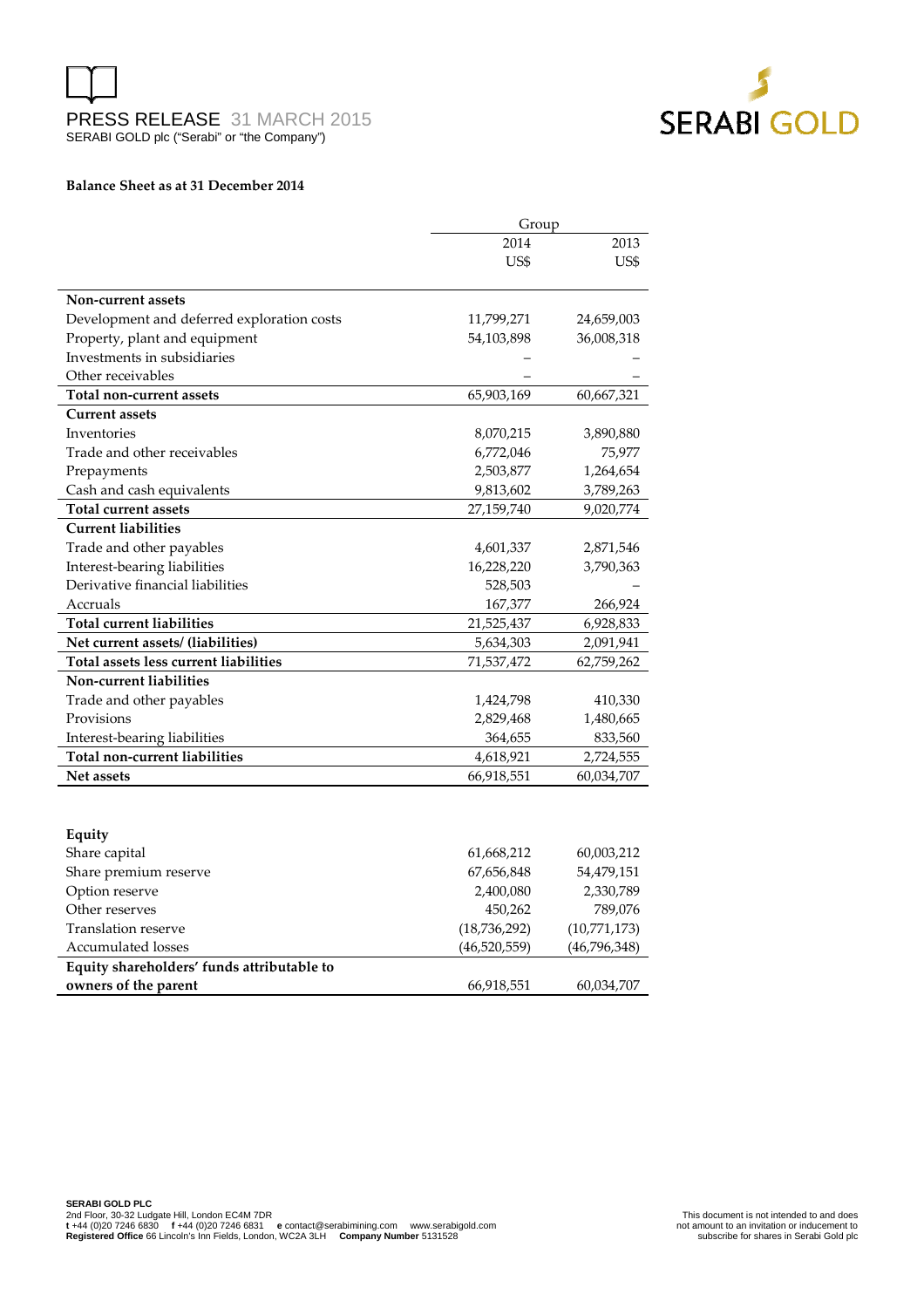



## **Balance Sheet as at 31 December 2014**

|                                            | Group          |              |  |
|--------------------------------------------|----------------|--------------|--|
|                                            | 2014           | 2013         |  |
|                                            | US\$           | US\$         |  |
|                                            |                |              |  |
| Non-current assets                         |                |              |  |
| Development and deferred exploration costs | 11,799,271     | 24,659,003   |  |
| Property, plant and equipment              | 54,103,898     | 36,008,318   |  |
| Investments in subsidiaries                |                |              |  |
| Other receivables                          |                |              |  |
| Total non-current assets                   | 65,903,169     | 60,667,321   |  |
| <b>Current assets</b>                      |                |              |  |
| Inventories                                | 8,070,215      | 3,890,880    |  |
| Trade and other receivables                | 6,772,046      | 75,977       |  |
| Prepayments                                | 2,503,877      | 1,264,654    |  |
| Cash and cash equivalents                  | 9,813,602      | 3,789,263    |  |
| <b>Total current assets</b>                | 27,159,740     | 9,020,774    |  |
| <b>Current liabilities</b>                 |                |              |  |
| Trade and other payables                   | 4,601,337      | 2,871,546    |  |
| Interest-bearing liabilities               | 16,228,220     | 3,790,363    |  |
| Derivative financial liabilities           | 528,503        |              |  |
| Accruals                                   | 167,377        | 266,924      |  |
| <b>Total current liabilities</b>           | 21,525,437     | 6,928,833    |  |
| Net current assets/ (liabilities)          | 5,634,303      | 2,091,941    |  |
| Total assets less current liabilities      | 71,537,472     | 62,759,262   |  |
| Non-current liabilities                    |                |              |  |
| Trade and other payables                   | 1,424,798      | 410,330      |  |
| Provisions                                 | 2,829,468      | 1,480,665    |  |
| Interest-bearing liabilities               | 364,655        | 833,560      |  |
| <b>Total non-current liabilities</b>       | 4,618,921      | 2,724,555    |  |
| Net assets                                 | 66,918,551     | 60,034,707   |  |
|                                            |                |              |  |
|                                            |                |              |  |
| Equity                                     |                |              |  |
| Share capital                              | 61,668,212     | 60,003,212   |  |
| Share premium reserve                      | 67,656,848     | 54,479,151   |  |
| Option reserve                             | 2,400,080      | 2,330,789    |  |
| Other reserves                             | 450,262        | 789,076      |  |
| Translation reserve                        | (18, 736, 292) | (10,771,173) |  |

Accumulated losses (46,520,559) (46,796,348)

**owners of the parent** 66,918,551 60,034,707

**Equity shareholders' funds attributable to**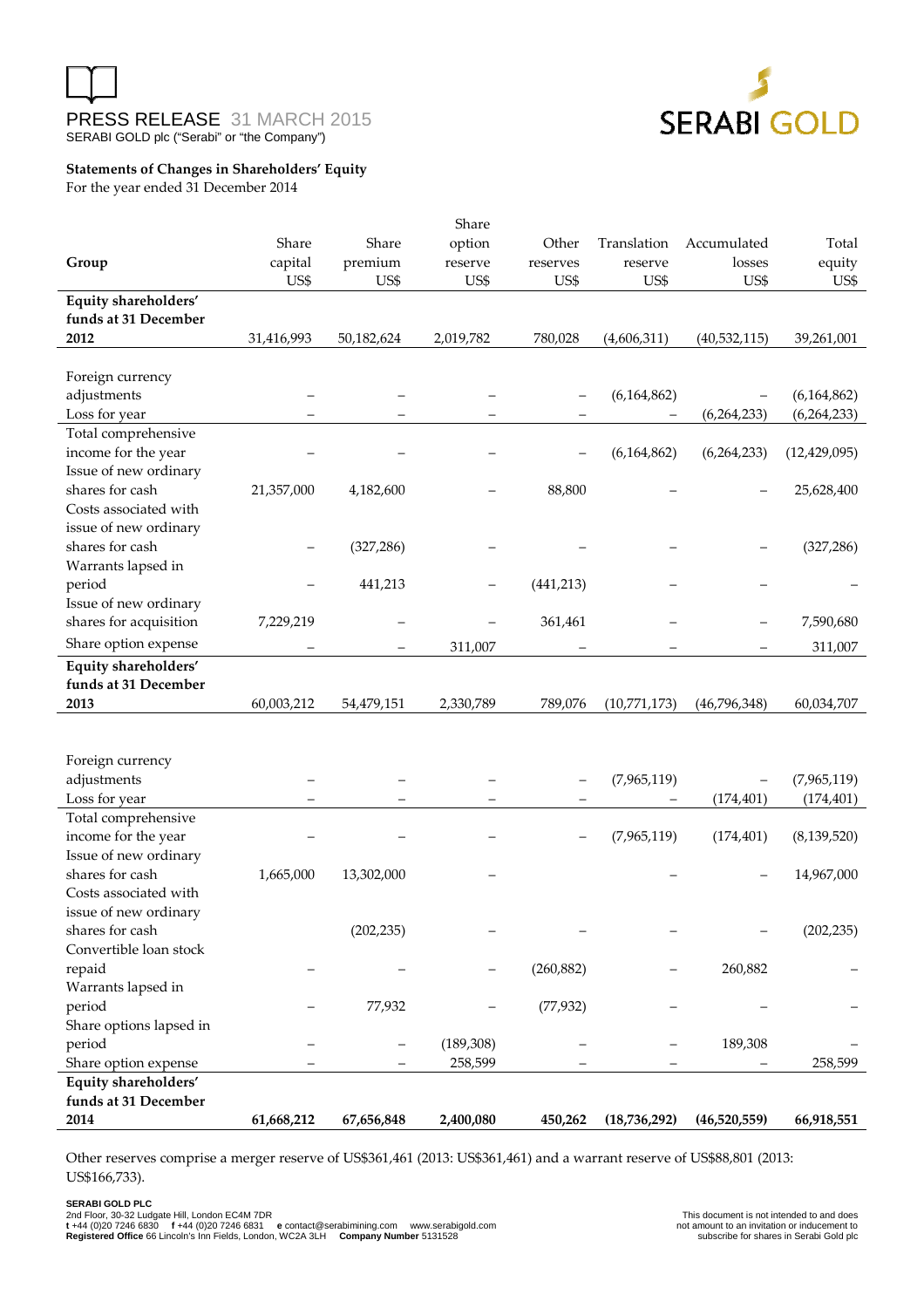



## **Statements of Changes in Shareholders' Equity**

For the year ended 31 December 2014

|                         |            |                          | Share      |                          |                |                |                |
|-------------------------|------------|--------------------------|------------|--------------------------|----------------|----------------|----------------|
|                         | Share      | Share                    | option     | Other                    | Translation    | Accumulated    | Total          |
| Group                   | capital    | premium                  | reserve    | reserves                 | reserve        | losses         | equity         |
|                         | US\$       | US\$                     | US\$       | US\$                     | US\$           | US\$           | US\$           |
| Equity shareholders'    |            |                          |            |                          |                |                |                |
| funds at 31 December    |            |                          |            |                          |                |                |                |
| 2012                    | 31,416,993 | 50,182,624               | 2,019,782  | 780,028                  | (4,606,311)    | (40, 532, 115) | 39,261,001     |
|                         |            |                          |            |                          |                |                |                |
| Foreign currency        |            |                          |            |                          |                |                |                |
| adjustments             |            |                          |            | $\overline{\phantom{0}}$ | (6, 164, 862)  |                | (6, 164, 862)  |
| Loss for year           |            |                          |            |                          |                | (6,264,233)    | (6,264,233)    |
| Total comprehensive     |            |                          |            |                          |                |                |                |
|                         |            |                          |            |                          |                |                |                |
| income for the year     |            |                          |            |                          | (6, 164, 862)  | (6,264,233)    | (12, 429, 095) |
| Issue of new ordinary   |            |                          |            |                          |                |                |                |
| shares for cash         | 21,357,000 | 4,182,600                |            | 88,800                   |                |                | 25,628,400     |
| Costs associated with   |            |                          |            |                          |                |                |                |
| issue of new ordinary   |            |                          |            |                          |                |                |                |
| shares for cash         |            | (327, 286)               |            |                          |                |                | (327, 286)     |
| Warrants lapsed in      |            |                          |            |                          |                |                |                |
| period                  |            | 441,213                  |            | (441, 213)               |                |                |                |
| Issue of new ordinary   |            |                          |            |                          |                |                |                |
| shares for acquisition  | 7,229,219  |                          |            | 361,461                  |                |                | 7,590,680      |
| Share option expense    |            |                          | 311,007    |                          |                |                | 311,007        |
| Equity shareholders'    |            |                          |            |                          |                |                |                |
| funds at 31 December    |            |                          |            |                          |                |                |                |
| 2013                    | 60,003,212 | 54,479,151               | 2,330,789  | 789,076                  | (10,771,173)   | (46,796,348)   | 60,034,707     |
|                         |            |                          |            |                          |                |                |                |
|                         |            |                          |            |                          |                |                |                |
| Foreign currency        |            |                          |            |                          |                |                |                |
| adjustments             |            |                          |            |                          | (7,965,119)    |                | (7,965,119)    |
| Loss for year           |            |                          |            |                          |                | (174, 401)     | (174, 401)     |
| Total comprehensive     |            |                          |            |                          |                |                |                |
| income for the year     |            |                          |            | $\overline{\phantom{0}}$ | (7,965,119)    | (174, 401)     | (8, 139, 520)  |
| Issue of new ordinary   |            |                          |            |                          |                |                |                |
| shares for cash         |            |                          |            |                          |                |                | 14,967,000     |
| Costs associated with   | 1,665,000  | 13,302,000               |            |                          |                |                |                |
|                         |            |                          |            |                          |                |                |                |
| issue of new ordinary   |            |                          |            |                          |                |                |                |
| shares for cash         |            | (202, 235)               |            |                          |                |                | (202, 235)     |
| Convertible loan stock  |            |                          |            |                          |                |                |                |
| repaid                  |            |                          |            | (260, 882)               |                | 260,882        |                |
| Warrants lapsed in      |            |                          |            |                          |                |                |                |
| period                  |            | 77,932                   |            | (77, 932)                |                |                |                |
| Share options lapsed in |            |                          |            |                          |                |                |                |
| period                  |            | $\overline{\phantom{0}}$ | (189, 308) |                          |                | 189,308        |                |
| Share option expense    |            |                          | 258,599    |                          |                |                | 258,599        |
| Equity shareholders'    |            |                          |            |                          |                |                |                |
| funds at 31 December    |            |                          |            |                          |                |                |                |
| 2014                    | 61,668,212 | 67,656,848               | 2,400,080  | 450,262                  | (18, 736, 292) | (46,520,559)   | 66,918,551     |

Other reserves comprise a merger reserve of US\$361,461 (2013: US\$361,461) and a warrant reserve of US\$88,801 (2013: US\$166,733).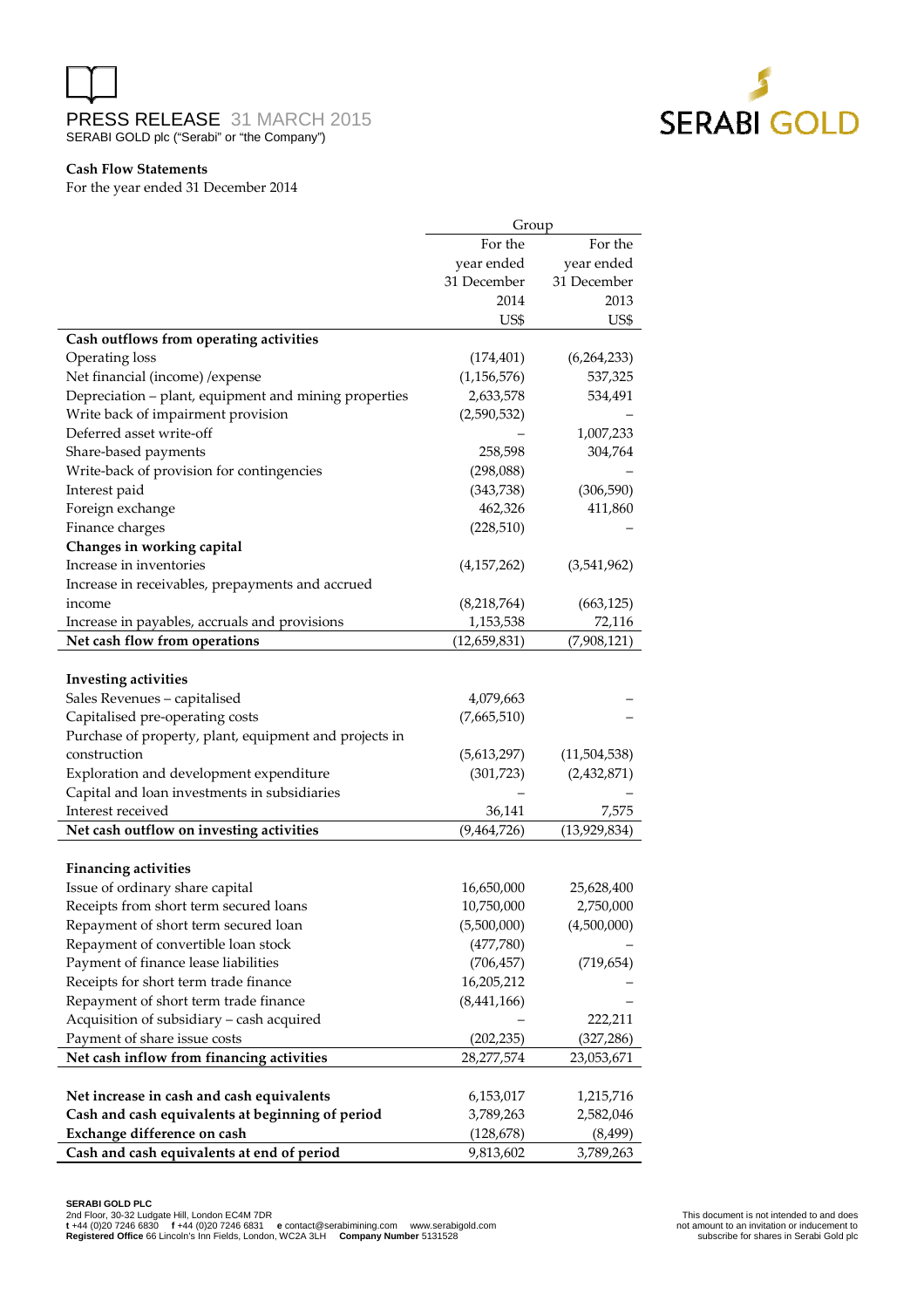PRESS RELEASE 31 MARCH 2015 SERABI GOLD plc ("Serabi" or "the Company")



## **Cash Flow Statements**

For the year ended 31 December 2014

|                                                        | Group          |                |
|--------------------------------------------------------|----------------|----------------|
|                                                        | For the        | For the        |
|                                                        | year ended     | year ended     |
|                                                        | 31 December    | 31 December    |
|                                                        | 2014           | 2013           |
|                                                        | US\$           | US\$           |
| Cash outflows from operating activities                |                |                |
| Operating loss                                         | (174, 401)     | (6,264,233)    |
| Net financial (income) / expense                       | (1, 156, 576)  | 537,325        |
| Depreciation - plant, equipment and mining properties  | 2,633,578      | 534,491        |
| Write back of impairment provision                     | (2,590,532)    |                |
| Deferred asset write-off                               |                | 1,007,233      |
| Share-based payments                                   | 258,598        | 304,764        |
| Write-back of provision for contingencies              | (298,088)      |                |
| Interest paid                                          | (343,738)      | (306, 590)     |
| Foreign exchange                                       | 462,326        | 411,860        |
| Finance charges                                        | (228, 510)     |                |
| Changes in working capital                             |                |                |
| Increase in inventories                                | (4, 157, 262)  | (3,541,962)    |
| Increase in receivables, prepayments and accrued       |                |                |
| income                                                 | (8,218,764)    | (663, 125)     |
| Increase in payables, accruals and provisions          | 1,153,538      | 72,116         |
| Net cash flow from operations                          | (12, 659, 831) | (7,908,121)    |
|                                                        |                |                |
| <b>Investing activities</b>                            |                |                |
| Sales Revenues - capitalised                           | 4,079,663      |                |
| Capitalised pre-operating costs                        | (7,665,510)    |                |
| Purchase of property, plant, equipment and projects in |                |                |
| construction                                           | (5,613,297)    | (11,504,538)   |
| Exploration and development expenditure                | (301, 723)     | (2,432,871)    |
| Capital and loan investments in subsidiaries           |                |                |
| Interest received                                      | 36,141         | 7,575          |
| Net cash outflow on investing activities               | (9,464,726)    | (13, 929, 834) |
|                                                        |                |                |
| <b>Financing activities</b>                            |                |                |
| Issue of ordinary share capital                        | 16,650,000     | 25,628,400     |
| Receipts from short term secured loans                 | 10,750,000     | 2,750,000      |
| Repayment of short term secured loan                   | (5,500,000)    | (4,500,000)    |
| Repayment of convertible loan stock                    | (477, 780)     |                |
| Payment of finance lease liabilities                   | (706, 457)     | (719, 654)     |
| Receipts for short term trade finance                  | 16,205,212     |                |
| Repayment of short term trade finance                  | (8,441,166)    |                |
| Acquisition of subsidiary - cash acquired              |                | 222,211        |
| Payment of share issue costs                           | (202, 235)     | (327, 286)     |
| Net cash inflow from financing activities              | 28,277,574     | 23,053,671     |
|                                                        |                |                |
| Net increase in cash and cash equivalents              | 6,153,017      | 1,215,716      |
| Cash and cash equivalents at beginning of period       | 3,789,263      | 2,582,046      |
| Exchange difference on cash                            | (128, 678)     | (8, 499)       |
| Cash and cash equivalents at end of period             | 9,813,602      | 3,789,263      |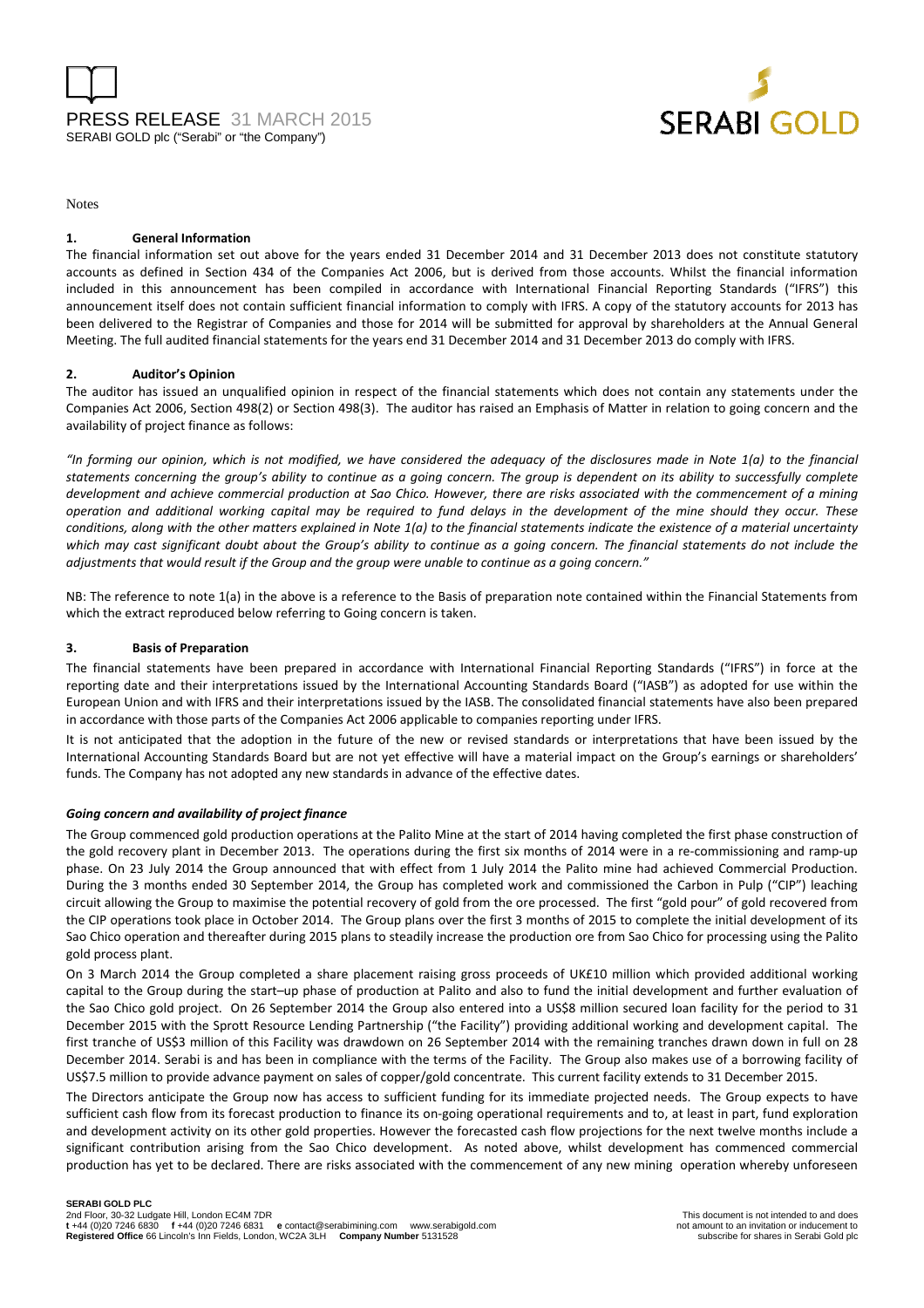



Notes

## **1. General Information**

The financial information set out above for the years ended 31 December 2014 and 31 December 2013 does not constitute statutory accounts as defined in Section 434 of the Companies Act 2006, but is derived from those accounts. Whilst the financial information included in this announcement has been compiled in accordance with International Financial Reporting Standards ("IFRS") this announcement itself does not contain sufficient financial information to comply with IFRS. A copy of the statutory accounts for 2013 has been delivered to the Registrar of Companies and those for 2014 will be submitted for approval by shareholders at the Annual General Meeting. The full audited financial statements for the years end 31 December 2014 and 31 December 2013 do comply with IFRS.

## **2. Auditor's Opinion**

The auditor has issued an unqualified opinion in respect of the financial statements which does not contain any statements under the Companies Act 2006, Section 498(2) or Section 498(3). The auditor has raised an Emphasis of Matter in relation to going concern and the availability of project finance as follows:

*"In forming our opinion, which is not modified, we have considered the adequacy of the disclosures made in Note 1(a) to the financial statements concerning the group's ability to continue as a going concern. The group is dependent on its ability to successfully complete development and achieve commercial production at Sao Chico. However, there are risks associated with the commencement of a mining operation and additional working capital may be required to fund delays in the development of the mine should they occur. These conditions, along with the other matters explained in Note 1(a) to the financial statements indicate the existence of a material uncertainty which may cast significant doubt about the Group's ability to continue as a going concern. The financial statements do not include the adjustments that would result if the Group and the group were unable to continue as a going concern."* 

NB: The reference to note 1(a) in the above is a reference to the Basis of preparation note contained within the Financial Statements from which the extract reproduced below referring to Going concern is taken.

## **3. Basis of Preparation**

The financial statements have been prepared in accordance with International Financial Reporting Standards ("IFRS") in force at the reporting date and their interpretations issued by the International Accounting Standards Board ("IASB") as adopted for use within the European Union and with IFRS and their interpretations issued by the IASB. The consolidated financial statements have also been prepared in accordance with those parts of the Companies Act 2006 applicable to companies reporting under IFRS.

It is not anticipated that the adoption in the future of the new or revised standards or interpretations that have been issued by the International Accounting Standards Board but are not yet effective will have a material impact on the Group's earnings or shareholders' funds. The Company has not adopted any new standards in advance of the effective dates.

## *Going concern and availability of project finance*

The Group commenced gold production operations at the Palito Mine at the start of 2014 having completed the first phase construction of the gold recovery plant in December 2013. The operations during the first six months of 2014 were in a re-commissioning and ramp-up phase. On 23 July 2014 the Group announced that with effect from 1 July 2014 the Palito mine had achieved Commercial Production. During the 3 months ended 30 September 2014, the Group has completed work and commissioned the Carbon in Pulp ("CIP") leaching circuit allowing the Group to maximise the potential recovery of gold from the ore processed. The first "gold pour" of gold recovered from the CIP operations took place in October 2014. The Group plans over the first 3 months of 2015 to complete the initial development of its Sao Chico operation and thereafter during 2015 plans to steadily increase the production ore from Sao Chico for processing using the Palito gold process plant.

On 3 March 2014 the Group completed a share placement raising gross proceeds of UK£10 million which provided additional working capital to the Group during the start–up phase of production at Palito and also to fund the initial development and further evaluation of the Sao Chico gold project. On 26 September 2014 the Group also entered into a US\$8 million secured loan facility for the period to 31 December 2015 with the Sprott Resource Lending Partnership ("the Facility") providing additional working and development capital. The first tranche of US\$3 million of this Facility was drawdown on 26 September 2014 with the remaining tranches drawn down in full on 28 December 2014. Serabi is and has been in compliance with the terms of the Facility. The Group also makes use of a borrowing facility of US\$7.5 million to provide advance payment on sales of copper/gold concentrate. This current facility extends to 31 December 2015.

The Directors anticipate the Group now has access to sufficient funding for its immediate projected needs. The Group expects to have sufficient cash flow from its forecast production to finance its on-going operational requirements and to, at least in part, fund exploration and development activity on its other gold properties. However the forecasted cash flow projections for the next twelve months include a significant contribution arising from the Sao Chico development. As noted above, whilst development has commenced commercial production has yet to be declared. There are risks associated with the commencement of any new mining operation whereby unforeseen